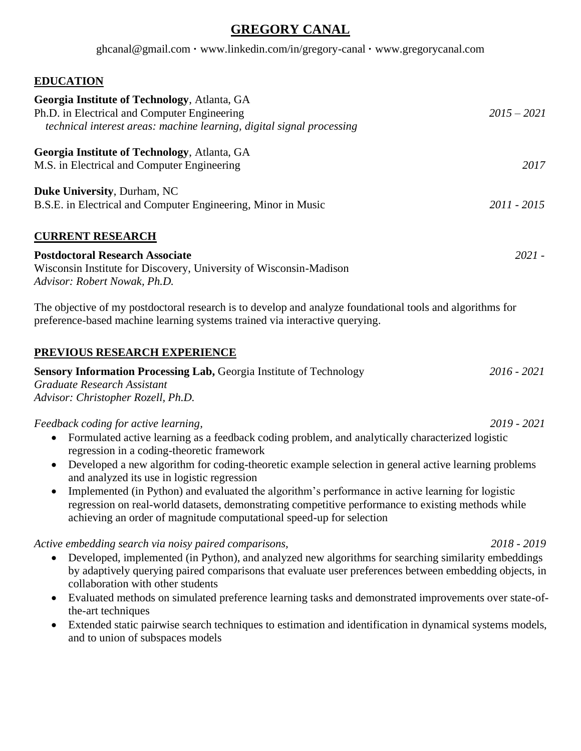# **GREGORY CANAL**

ghcanal@gmail.com **·** www.linkedin.com/in/gregory-canal **·** www.gregorycanal.com

# **EDUCATION**

| Georgia Institute of Technology, Atlanta, GA<br>Ph.D. in Electrical and Computer Engineering<br>technical interest areas: machine learning, digital signal processing                                                                                                                                                                                                                                                                                                                                                                                                                                                                                      | $2015 - 2021$ |
|------------------------------------------------------------------------------------------------------------------------------------------------------------------------------------------------------------------------------------------------------------------------------------------------------------------------------------------------------------------------------------------------------------------------------------------------------------------------------------------------------------------------------------------------------------------------------------------------------------------------------------------------------------|---------------|
| Georgia Institute of Technology, Atlanta, GA<br>M.S. in Electrical and Computer Engineering                                                                                                                                                                                                                                                                                                                                                                                                                                                                                                                                                                | 2017          |
| Duke University, Durham, NC<br>B.S.E. in Electrical and Computer Engineering, Minor in Music                                                                                                                                                                                                                                                                                                                                                                                                                                                                                                                                                               | 2011 - 2015   |
| <b>CURRENT RESEARCH</b>                                                                                                                                                                                                                                                                                                                                                                                                                                                                                                                                                                                                                                    |               |
| <b>Postdoctoral Research Associate</b><br>Wisconsin Institute for Discovery, University of Wisconsin-Madison<br>Advisor: Robert Nowak, Ph.D.                                                                                                                                                                                                                                                                                                                                                                                                                                                                                                               | $2021 -$      |
| The objective of my postdoctoral research is to develop and analyze foundational tools and algorithms for<br>preference-based machine learning systems trained via interactive querying.                                                                                                                                                                                                                                                                                                                                                                                                                                                                   |               |
| PREVIOUS RESEARCH EXPERIENCE                                                                                                                                                                                                                                                                                                                                                                                                                                                                                                                                                                                                                               |               |
| Sensory Information Processing Lab, Georgia Institute of Technology<br>Graduate Research Assistant<br>Advisor: Christopher Rozell, Ph.D.                                                                                                                                                                                                                                                                                                                                                                                                                                                                                                                   | $2016 - 2021$ |
| Feedback coding for active learning,<br>Formulated active learning as a feedback coding problem, and analytically characterized logistic<br>$\bullet$<br>regression in a coding-theoretic framework<br>Developed a new algorithm for coding-theoretic example selection in general active learning problems<br>$\bullet$<br>and analyzed its use in logistic regression<br>Implemented (in Python) and evaluated the algorithm's performance in active learning for logistic<br>regression on real-world datasets, demonstrating competitive performance to existing methods while<br>achieving an order of magnitude computational speed-up for selection | $2019 - 2021$ |
| Active embedding search via noisy paired comparisons,<br>Developed, implemented (in Python), and analyzed new algorithms for searching similarity embeddings<br>by adaptively querying paired comparisons that evaluate user preferences between embedding objects, in<br>collaboration with other students<br>Evaluated methods on simulated preference learning tasks and demonstrated improvements over state-of-<br>$\bullet$<br>the-art techniques                                                                                                                                                                                                    | 2018 - 2019   |

• Extended static pairwise search techniques to estimation and identification in dynamical systems models, and to union of subspaces models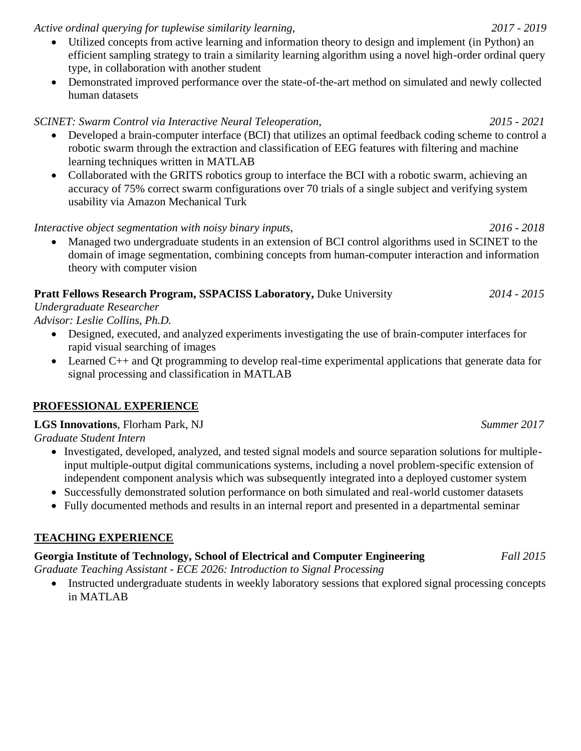*Active ordinal querying for tuplewise similarity learning, 2017 - 2019*

- Utilized concepts from active learning and information theory to design and implement (in Python) an efficient sampling strategy to train a similarity learning algorithm using a novel high-order ordinal query type, in collaboration with another student
- Demonstrated improved performance over the state-of-the-art method on simulated and newly collected human datasets

#### *SCINET: Swarm Control via Interactive Neural Teleoperation, 2015 - 2021*

- Developed a brain-computer interface (BCI) that utilizes an optimal feedback coding scheme to control a robotic swarm through the extraction and classification of EEG features with filtering and machine learning techniques written in MATLAB
- Collaborated with the GRITS robotics group to interface the BCI with a robotic swarm, achieving an accuracy of 75% correct swarm configurations over 70 trials of a single subject and verifying system usability via Amazon Mechanical Turk

*Interactive object segmentation with noisy binary inputs, 2016 - 2018*

• Managed two undergraduate students in an extension of BCI control algorithms used in SCINET to the domain of image segmentation, combining concepts from human-computer interaction and information theory with computer vision

# **Pratt Fellows Research Program, SSPACISS Laboratory,** Duke University *2014 - 2015*

*Undergraduate Researcher*

*Advisor: Leslie Collins, Ph.D.*

- Designed, executed, and analyzed experiments investigating the use of brain-computer interfaces for rapid visual searching of images
- Learned C++ and Qt programming to develop real-time experimental applications that generate data for signal processing and classification in MATLAB

# **PROFESSIONAL EXPERIENCE**

# **LGS Innovations**, Florham Park, NJ*Summer 2017*

*Graduate Student Intern*

- Investigated, developed, analyzed, and tested signal models and source separation solutions for multipleinput multiple-output digital communications systems, including a novel problem-specific extension of independent component analysis which was subsequently integrated into a deployed customer system
- Successfully demonstrated solution performance on both simulated and real-world customer datasets
- Fully documented methods and results in an internal report and presented in a departmental seminar

# **TEACHING EXPERIENCE**

# **Georgia Institute of Technology, School of Electrical and Computer Engineering** *Fall 2015*

*Graduate Teaching Assistant - ECE 2026: Introduction to Signal Processing*

• Instructed undergraduate students in weekly laboratory sessions that explored signal processing concepts in MATLAB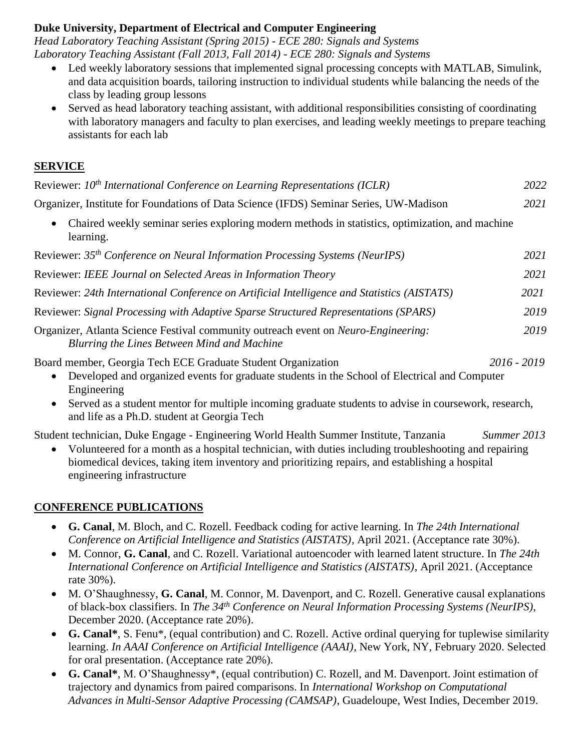#### **Duke University, Department of Electrical and Computer Engineering**

*Head Laboratory Teaching Assistant (Spring 2015) - ECE 280: Signals and Systems Laboratory Teaching Assistant (Fall 2013, Fall 2014) - ECE 280: Signals and Systems*

- Led weekly laboratory sessions that implemented signal processing concepts with MATLAB, Simulink, and data acquisition boards, tailoring instruction to individual students while balancing the needs of the class by leading group lessons
- Served as head laboratory teaching assistant, with additional responsibilities consisting of coordinating with laboratory managers and faculty to plan exercises, and leading weekly meetings to prepare teaching assistants for each lab

#### **SERVICE**

| Reviewer: 10 <sup>th</sup> International Conference on Learning Representations (ICLR)                                                                                                                                                                                                | 2022          |
|---------------------------------------------------------------------------------------------------------------------------------------------------------------------------------------------------------------------------------------------------------------------------------------|---------------|
| Organizer, Institute for Foundations of Data Science (IFDS) Seminar Series, UW-Madison                                                                                                                                                                                                | 2021          |
| Chaired weekly seminar series exploring modern methods in statistics, optimization, and machine<br>learning.                                                                                                                                                                          |               |
| Reviewer: 35 <sup>th</sup> Conference on Neural Information Processing Systems (NeurIPS)                                                                                                                                                                                              | 2021          |
| Reviewer: IEEE Journal on Selected Areas in Information Theory                                                                                                                                                                                                                        | 2021          |
| Reviewer: 24th International Conference on Artificial Intelligence and Statistics (AISTATS)                                                                                                                                                                                           | 2021          |
| Reviewer: Signal Processing with Adaptive Sparse Structured Representations (SPARS)                                                                                                                                                                                                   | 2019          |
| Organizer, Atlanta Science Festival community outreach event on <i>Neuro-Engineering</i> :<br>Blurring the Lines Between Mind and Machine                                                                                                                                             | 2019          |
| Board member, Georgia Tech ECE Graduate Student Organization<br>Developed and organized events for graduate students in the School of Electrical and Computer<br>Engineering<br>Served as a student mentor for multiple incoming graduate students to advise in coursework, research, | $2016 - 2019$ |
| and life as a Ph.D. student at Georgia Tech                                                                                                                                                                                                                                           |               |

Student technician, Duke Engage - Engineering World Health Summer Institute, Tanzania*Summer 2013*

• Volunteered for a month as a hospital technician, with duties including troubleshooting and repairing biomedical devices, taking item inventory and prioritizing repairs, and establishing a hospital engineering infrastructure

# **CONFERENCE PUBLICATIONS**

- **G. Canal**, M. Bloch, and C. Rozell. Feedback coding for active learning. In *The 24th International Conference on Artificial Intelligence and Statistics (AISTATS)*, April 2021. (Acceptance rate 30%).
- M. Connor, **G. Canal**, and C. Rozell. Variational autoencoder with learned latent structure. In *The 24th International Conference on Artificial Intelligence and Statistics (AISTATS)*, April 2021. (Acceptance rate 30%).
- M. O'Shaughnessy, **G. Canal**, M. Connor, M. Davenport, and C. Rozell. Generative causal explanations of black-box classifiers. In *The 34th Conference on Neural Information Processing Systems (NeurIPS)*, December 2020. (Acceptance rate 20%).
- **G. Canal\***, S. Fenu\*, (equal contribution) and C. Rozell. Active ordinal querying for tuplewise similarity learning. *In AAAI Conference on Artificial Intelligence (AAAI)*, New York, NY, February 2020. Selected for oral presentation. (Acceptance rate 20%).
- **G. Canal\***, M. O'Shaughnessy\*, (equal contribution) C. Rozell, and M. Davenport. Joint estimation of trajectory and dynamics from paired comparisons. In *International Workshop on Computational Advances in Multi-Sensor Adaptive Processing (CAMSAP)*, Guadeloupe, West Indies, December 2019.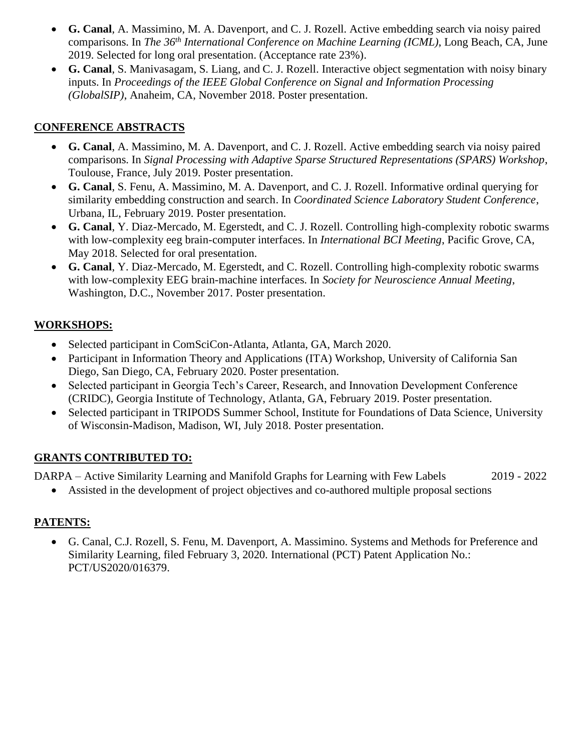- **G. Canal**, A. Massimino, M. A. Davenport, and C. J. Rozell. Active embedding search via noisy paired comparisons. In *The 36th International Conference on Machine Learning (ICML)*, Long Beach, CA, June 2019. Selected for long oral presentation. (Acceptance rate 23%).
- **G. Canal**, S. Manivasagam, S. Liang, and C. J. Rozell. Interactive object segmentation with noisy binary inputs. In *Proceedings of the IEEE Global Conference on Signal and Information Processing (GlobalSIP)*, Anaheim, CA, November 2018. Poster presentation.

# **CONFERENCE ABSTRACTS**

- **G. Canal**, A. Massimino, M. A. Davenport, and C. J. Rozell. Active embedding search via noisy paired comparisons. In *Signal Processing with Adaptive Sparse Structured Representations (SPARS) Workshop*, Toulouse, France, July 2019. Poster presentation.
- **G. Canal**, S. Fenu, A. Massimino, M. A. Davenport, and C. J. Rozell. Informative ordinal querying for similarity embedding construction and search. In *Coordinated Science Laboratory Student Conference*, Urbana, IL, February 2019. Poster presentation.
- **G. Canal**, Y. Diaz-Mercado, M. Egerstedt, and C. J. Rozell. Controlling high-complexity robotic swarms with low-complexity eeg brain-computer interfaces. In *International BCI Meeting*, Pacific Grove, CA, May 2018. Selected for oral presentation.
- **G. Canal**, Y. Diaz-Mercado, M. Egerstedt, and C. Rozell. Controlling high-complexity robotic swarms with low-complexity EEG brain-machine interfaces. In *Society for Neuroscience Annual Meeting*, Washington, D.C., November 2017. Poster presentation.

# **WORKSHOPS:**

- Selected participant in ComSciCon-Atlanta, Atlanta, GA, March 2020.
- Participant in Information Theory and Applications (ITA) Workshop, University of California San Diego, San Diego, CA, February 2020. Poster presentation.
- Selected participant in Georgia Tech's Career, Research, and Innovation Development Conference (CRIDC), Georgia Institute of Technology, Atlanta, GA, February 2019. Poster presentation.
- Selected participant in TRIPODS Summer School, Institute for Foundations of Data Science, University of Wisconsin-Madison, Madison, WI, July 2018. Poster presentation.

# **GRANTS CONTRIBUTED TO:**

DARPA – Active Similarity Learning and Manifold Graphs for Learning with Few Labels 2019 - 2022

• Assisted in the development of project objectives and co-authored multiple proposal sections

# **PATENTS:**

• G. Canal, C.J. Rozell, S. Fenu, M. Davenport, A. Massimino. Systems and Methods for Preference and Similarity Learning, filed February 3, 2020. International (PCT) Patent Application No.: PCT/US2020/016379.